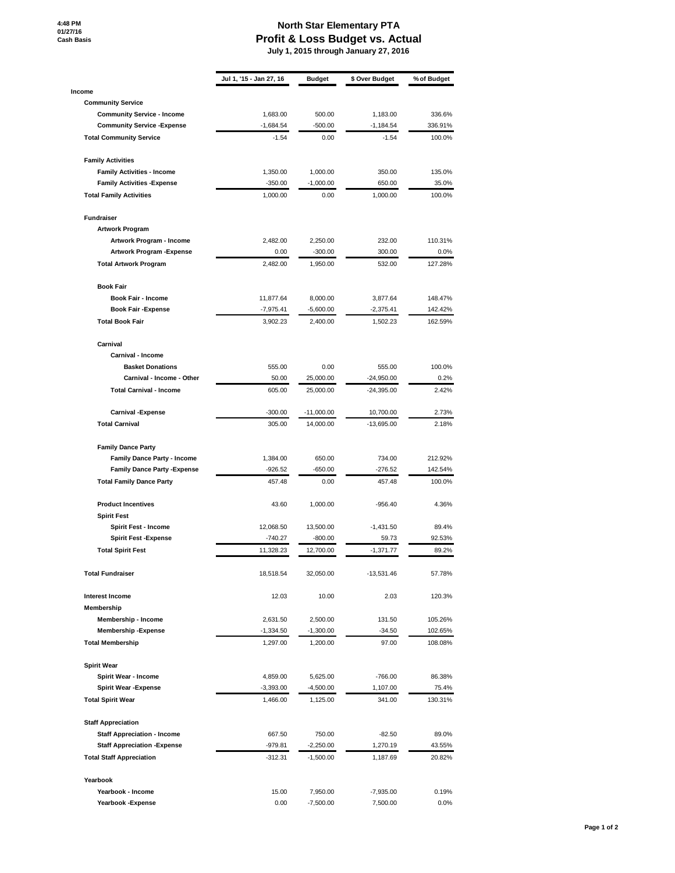## **North Star Elementary PTA Profit & Loss Budget vs. Actual July 1, 2015 through January 27, 2016**

|                                                 | Jul 1, '15 - Jan 27, 16 | <b>Budget</b> | \$ Over Budget | % of Budget |
|-------------------------------------------------|-------------------------|---------------|----------------|-------------|
| Income                                          |                         |               |                |             |
| <b>Community Service</b>                        |                         |               |                |             |
| <b>Community Service - Income</b>               | 1,683.00                | 500.00        | 1,183.00       | 336.6%      |
| <b>Community Service - Expense</b>              | $-1,684.54$             | $-500.00$     | $-1,184.54$    | 336.91%     |
| <b>Total Community Service</b>                  | $-1.54$                 | 0.00          | $-1.54$        | 100.0%      |
| <b>Family Activities</b>                        |                         |               |                |             |
| <b>Family Activities - Income</b>               | 1,350.00                | 1,000.00      | 350.00         | 135.0%      |
| <b>Family Activities - Expense</b>              | $-350.00$               | $-1,000.00$   | 650.00         | 35.0%       |
| <b>Total Family Activities</b>                  | 1,000.00                | 0.00          | 1,000.00       | 100.0%      |
| <b>Fundraiser</b>                               |                         |               |                |             |
| <b>Artwork Program</b>                          |                         |               |                |             |
| Artwork Program - Income                        | 2,482.00                | 2,250.00      | 232.00         | 110.31%     |
| <b>Artwork Program - Expense</b>                | 0.00                    | $-300.00$     | 300.00         | 0.0%        |
| <b>Total Artwork Program</b>                    | 2,482.00                | 1,950.00      | 532.00         | 127.28%     |
| <b>Book Fair</b>                                |                         |               |                |             |
| Book Fair - Income                              | 11,877.64               | 8,000.00      | 3,877.64       | 148.47%     |
| <b>Book Fair - Expense</b>                      | $-7,975.41$             | $-5,600.00$   | $-2,375.41$    | 142.42%     |
| <b>Total Book Fair</b>                          | 3,902.23                | 2,400.00      | 1,502.23       | 162.59%     |
| Carnival                                        |                         |               |                |             |
| Carnival - Income                               |                         |               |                |             |
| <b>Basket Donations</b>                         | 555.00                  | 0.00          | 555.00         | 100.0%      |
| Carnival - Income - Other                       | 50.00                   | 25,000.00     | $-24,950.00$   | 0.2%        |
| <b>Total Carnival - Income</b>                  | 605.00                  | 25,000.00     | $-24,395.00$   | 2.42%       |
| Carnival -Expense                               | -300.00                 | $-11,000.00$  | 10,700.00      | 2.73%       |
| <b>Total Carnival</b>                           | 305.00                  | 14,000.00     | $-13,695.00$   | 2.18%       |
| <b>Family Dance Party</b>                       |                         |               |                |             |
| <b>Family Dance Party - Income</b>              | 1,384.00                | 650.00        | 734.00         | 212.92%     |
| <b>Family Dance Party - Expense</b>             | $-926.52$               | $-650.00$     | $-276.52$      | 142.54%     |
| <b>Total Family Dance Party</b>                 | 457.48                  | 0.00          | 457.48         | 100.0%      |
| <b>Product Incentives</b><br><b>Spirit Fest</b> | 43.60                   | 1,000.00      | $-956.40$      | 4.36%       |
| Spirit Fest - Income                            | 12,068.50               | 13,500.00     | $-1,431.50$    | 89.4%       |
| <b>Spirit Fest -Expense</b>                     | $-740.27$               | $-800.00$     | 59.73          | 92.53%      |
| <b>Total Spirit Fest</b>                        | 11,328.23               | 12,700.00     | $-1,371.77$    | 89.2%       |
| <b>Total Fundraiser</b>                         | 18,518.54               | 32,050.00     | $-13,531.46$   | 57.78%      |
| <b>Interest Income</b>                          | 12.03                   | 10.00         | 2.03           | 120.3%      |
| Membership                                      |                         |               |                |             |
| Membership - Income                             | 2,631.50                | 2,500.00      | 131.50         | 105.26%     |
| <b>Membership - Expense</b>                     | -1,334.50               | $-1,300.00$   | $-34.50$       | 102.65%     |
| <b>Total Membership</b>                         | 1,297.00                | 1,200.00      | 97.00          | 108.08%     |
| <b>Spirit Wear</b>                              |                         |               |                |             |
| Spirit Wear - Income                            | 4,859.00                | 5,625.00      | $-766.00$      | 86.38%      |
| <b>Spirit Wear - Expense</b>                    | $-3,393.00$             | $-4,500.00$   | 1,107.00       | 75.4%       |
| <b>Total Spirit Wear</b>                        | 1,466.00                | 1,125.00      | 341.00         | 130.31%     |
| <b>Staff Appreciation</b>                       |                         |               |                |             |
| <b>Staff Appreciation - Income</b>              | 667.50                  | 750.00        | $-82.50$       | 89.0%       |
| <b>Staff Appreciation - Expense</b>             | -979.81                 | $-2,250.00$   | 1,270.19       | 43.55%      |
| <b>Total Staff Appreciation</b>                 | $-312.31$               | $-1,500.00$   | 1,187.69       | 20.82%      |
| Yearbook                                        |                         |               |                |             |
| Yearbook - Income                               | 15.00                   | 7,950.00      | $-7,935.00$    | 0.19%       |
| Yearbook - Expense                              | 0.00                    | $-7,500.00$   | 7,500.00       | 0.0%        |
|                                                 |                         |               |                |             |